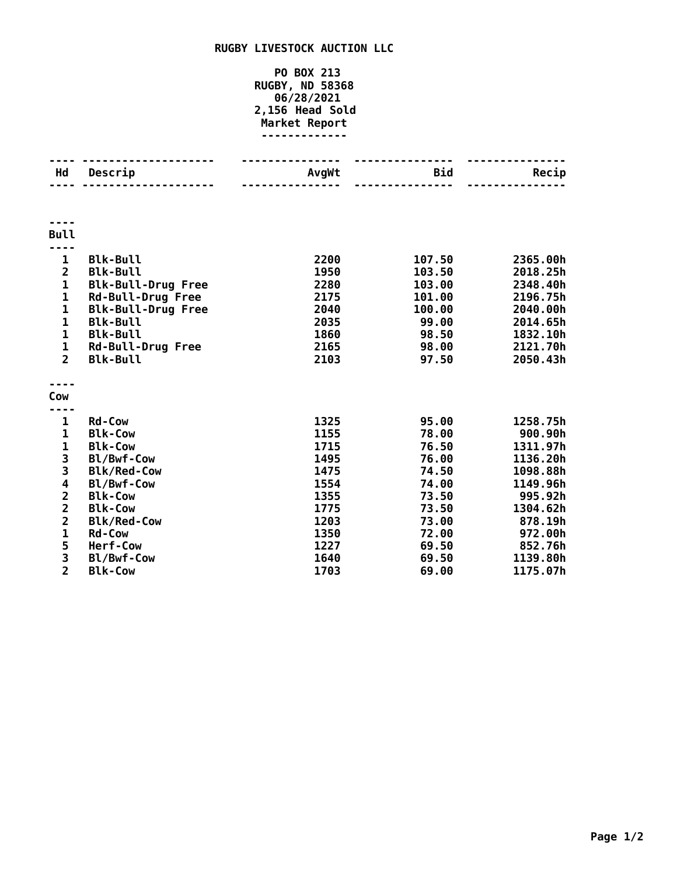## **RUGBY LIVESTOCK AUCTION LLC**

## **PO BOX 213 RUGBY, ND 58368 06/28/2021 2,156 Head Sold Market Report -------------**

| Hd                      | Descrip                   | AvgWt | <b>Bid</b> | Recip    |
|-------------------------|---------------------------|-------|------------|----------|
|                         |                           |       |            |          |
|                         |                           |       |            |          |
|                         |                           |       |            |          |
| <b>Bull</b>             |                           |       |            |          |
|                         |                           |       |            |          |
| 1                       | <b>Blk-Bull</b>           | 2200  | 107.50     | 2365.00h |
| $\overline{2}$          | <b>Blk-Bull</b>           | 1950  | 103.50     | 2018.25h |
| $\mathbf{1}$            | <b>Blk-Bull-Drug Free</b> | 2280  | 103.00     | 2348.40h |
| 1                       | Rd-Bull-Drug Free         | 2175  | 101.00     | 2196.75h |
| $\mathbf 1$             | <b>Blk-Bull-Drug Free</b> | 2040  | 100.00     | 2040.00h |
| $\mathbf{1}$            | <b>Blk-Bull</b>           | 2035  | 99.00      | 2014.65h |
| $\mathbf{1}$            | <b>Blk-Bull</b>           | 1860  | 98.50      | 1832.10h |
| $\mathbf 1$             | <b>Rd-Bull-Drug Free</b>  | 2165  | 98.00      | 2121.70h |
| $\overline{2}$          | <b>Blk-Bull</b>           | 2103  | 97.50      | 2050.43h |
|                         |                           |       |            |          |
| Cow                     |                           |       |            |          |
|                         |                           |       |            |          |
| 1                       | <b>Rd-Cow</b>             | 1325  | 95.00      | 1258.75h |
| 1                       | <b>Blk-Cow</b>            | 1155  | 78.00      | 900.90h  |
| $\mathbf{1}$            | <b>Blk-Cow</b>            | 1715  | 76.50      | 1311.97h |
|                         | Bl/Bwf-Cow                | 1495  | 76.00      | 1136.20h |
| $\frac{3}{3}$           | <b>Blk/Red-Cow</b>        | 1475  | 74.50      | 1098.88h |
| 4                       | Bl/Bwf-Cow                | 1554  | 74.00      | 1149.96h |
| $\overline{\mathbf{c}}$ | <b>Blk-Cow</b>            | 1355  | 73.50      | 995.92h  |
| $\overline{\mathbf{c}}$ | <b>Blk-Cow</b>            | 1775  | 73.50      | 1304.62h |
| $\overline{\mathbf{c}}$ | <b>Blk/Red-Cow</b>        | 1203  | 73.00      | 878.19h  |
| $\mathbf{1}$            | <b>Rd-Cow</b>             | 1350  | 72.00      | 972.00h  |
| 5                       | Herf-Cow                  | 1227  | 69.50      | 852.76h  |
| 3                       | Bl/Bwf-Cow                | 1640  | 69.50      | 1139.80h |
| $\overline{2}$          | <b>Blk-Cow</b>            | 1703  | 69.00      | 1175.07h |